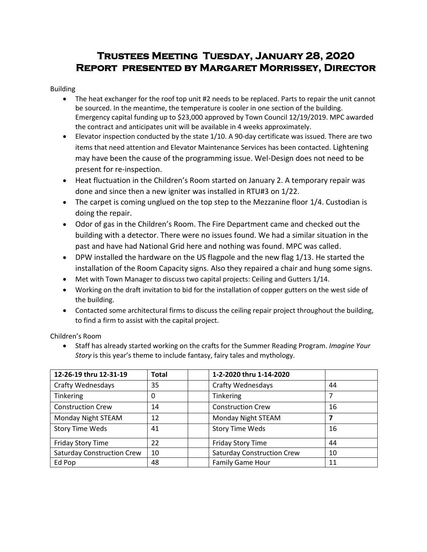# **Trustees Meeting Tuesday, January 28, 2020 Report presented by Margaret Morrissey, Director**

#### Building

- The heat exchanger for the roof top unit #2 needs to be replaced. Parts to repair the unit cannot be sourced. In the meantime, the temperature is cooler in one section of the building. Emergency capital funding up to \$23,000 approved by Town Council 12/19/2019. MPC awarded the contract and anticipates unit will be available in 4 weeks approximately.
- Elevator inspection conducted by the state 1/10. A 90-day certificate was issued. There are two items that need attention and Elevator Maintenance Services has been contacted. Lightening may have been the cause of the programming issue. Wel-Design does not need to be present for re-inspection.
- Heat fluctuation in the Children's Room started on January 2. A temporary repair was done and since then a new igniter was installed in RTU#3 on 1/22.
- The carpet is coming unglued on the top step to the Mezzanine floor 1/4. Custodian is doing the repair.
- Odor of gas in the Children's Room. The Fire Department came and checked out the building with a detector. There were no issues found. We had a similar situation in the past and have had National Grid here and nothing was found. MPC was called.
- DPW installed the hardware on the US flagpole and the new flag 1/13. He started the installation of the Room Capacity signs. Also they repaired a chair and hung some signs.
- Met with Town Manager to discuss two capital projects: Ceiling and Gutters 1/14.
- Working on the draft invitation to bid for the installation of copper gutters on the west side of the building.
- Contacted some architectural firms to discuss the ceiling repair project throughout the building, to find a firm to assist with the capital project.

Children's Room

 Staff has already started working on the crafts for the Summer Reading Program. *Imagine Your Story* is this year's theme to include fantasy, fairy tales and mythology.

| 12-26-19 thru 12-31-19            | <b>Total</b> | 1-2-2020 thru 1-14-2020           |    |
|-----------------------------------|--------------|-----------------------------------|----|
| <b>Crafty Wednesdays</b>          | 35           | <b>Crafty Wednesdays</b>          | 44 |
| Tinkering                         | 0            | Tinkering                         | 7  |
| <b>Construction Crew</b>          | 14           | <b>Construction Crew</b>          | 16 |
| Monday Night STEAM                | 12           | Monday Night STEAM                | 7  |
| <b>Story Time Weds</b>            | 41           | <b>Story Time Weds</b>            | 16 |
| Friday Story Time                 | 22           | Friday Story Time                 | 44 |
| <b>Saturday Construction Crew</b> | 10           | <b>Saturday Construction Crew</b> | 10 |
| Ed Pop                            | 48           | <b>Family Game Hour</b>           | 11 |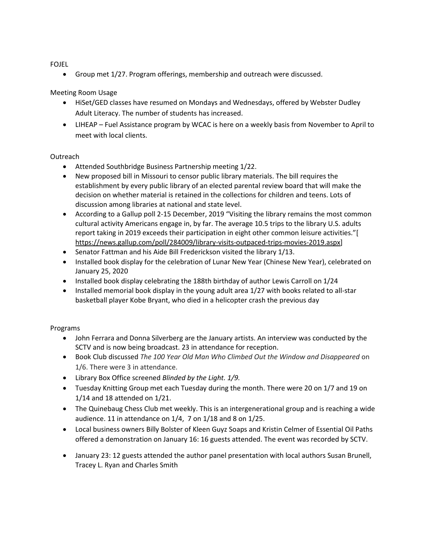FOJEL

Group met 1/27. Program offerings, membership and outreach were discussed.

## Meeting Room Usage

- HiSet/GED classes have resumed on Mondays and Wednesdays, offered by Webster Dudley Adult Literacy. The number of students has increased.
- LIHEAP Fuel Assistance program by WCAC is here on a weekly basis from November to April to meet with local clients.

### Outreach

- Attended Southbridge Business Partnership meeting 1/22.
- New proposed bill in Missouri to censor public library materials. The bill requires the establishment by every public library of an elected parental review board that will make the decision on whether material is retained in the collections for children and teens. Lots of discussion among libraries at national and state level.
- According to a Gallup poll 2-15 December, 2019 "Visiting the library remains the most common cultural activity Americans engage in, by far. The average 10.5 trips to the library U.S. adults report taking in 2019 exceeds their participation in eight other common leisure activities."[ [https://news.gallup.com/poll/284009/library-visits-outpaced-trips-movies-2019.aspx\]](https://news.gallup.com/poll/284009/library-visits-outpaced-trips-movies-2019.aspx)
- Senator Fattman and his Aide Bill Frederickson visited the library 1/13.
- Installed book display for the celebration of Lunar New Year (Chinese New Year), celebrated on January 25, 2020
- Installed book display celebrating the 188th birthday of author Lewis Carroll on 1/24
- Installed memorial book display in the young adult area 1/27 with books related to all-star basketball player Kobe Bryant, who died in a helicopter crash the previous day

## Programs

- John Ferrara and Donna Silverberg are the January artists. An interview was conducted by the SCTV and is now being broadcast. 23 in attendance for reception.
- Book Club discussed *The 100 Year Old Man Who Climbed Out the Window and Disappeared* on 1/6. There were 3 in attendance.
- Library Box Office screened *Blinded by the Light. 1/9.*
- Tuesday Knitting Group met each Tuesday during the month. There were 20 on 1/7 and 19 on 1/14 and 18 attended on 1/21.
- The Quinebaug Chess Club met weekly. This is an intergenerational group and is reaching a wide audience. 11 in attendance on 1/4, 7 on 1/18 and 8 on 1/25.
- Local business owners Billy Bolster of Kleen Guyz Soaps and Kristin Celmer of Essential Oil Paths offered a demonstration on January 16: 16 guests attended. The event was recorded by SCTV.
- January 23: 12 guests attended the author panel presentation with local authors Susan Brunell, Tracey L. Ryan and Charles Smith